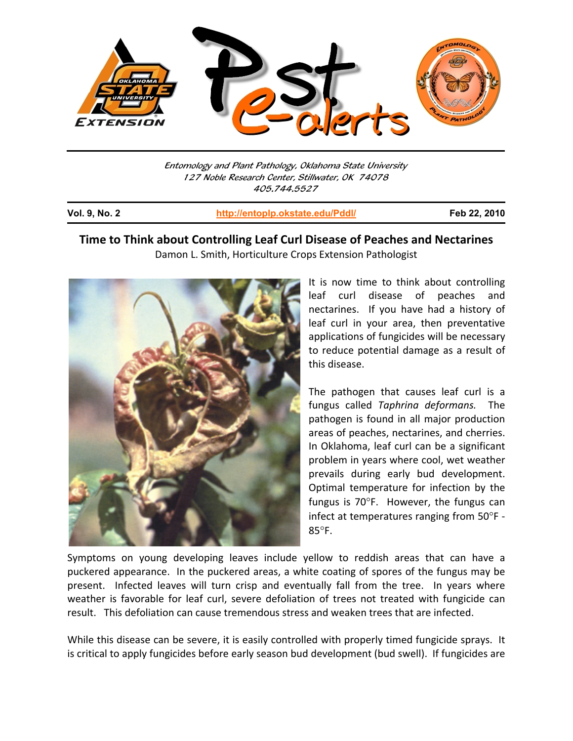

Entomology and Plant Pathology, Oklahoma State University 127 Noble Research Center, Stillwater, OK 74078 405.744.5527

j

**Vol. 9, No. 2 http://entoplp.okstate.edu/Pddl/ Feb 22, 2010**

## **Time to Think about Controlling Leaf Curl Disease of Peaches and Nectarines** Damon L. Smith, Horticulture Crops Extension Pathologist



It is now time to think about controlling leaf curl disease of peaches and nectarines. If you have had a history of leaf curl in your area, then preventative applications of fungicides will be necessary to reduce potential damage as a result of this disease.

The pathogen that causes leaf curl is a fungus called *Taphrina deformans.* The pathogen is found in all major production areas of peaches, nectarines, and cherries. In Oklahoma, leaf curl can be a significant problem in years where cool, wet weather prevails during early bud development. Optimal temperature for infection by the fungus is  $70^{\circ}$ F. However, the fungus can infect at temperatures ranging from 50°F -85°F.

Symptoms on young developing leaves include yellow to reddish areas that can have a puckered appearance. In the puckered areas, a white coating of spores of the fungus may be present. Infected leaves will turn crisp and eventually fall from the tree. In years where weather is favorable for leaf curl, severe defoliation of trees not treated with fungicide can result. This defoliation can cause tremendous stress and weaken trees that are infected.

While this disease can be severe, it is easily controlled with properly timed fungicide sprays. It is critical to apply fungicides before early season bud development (bud swell). If fungicides are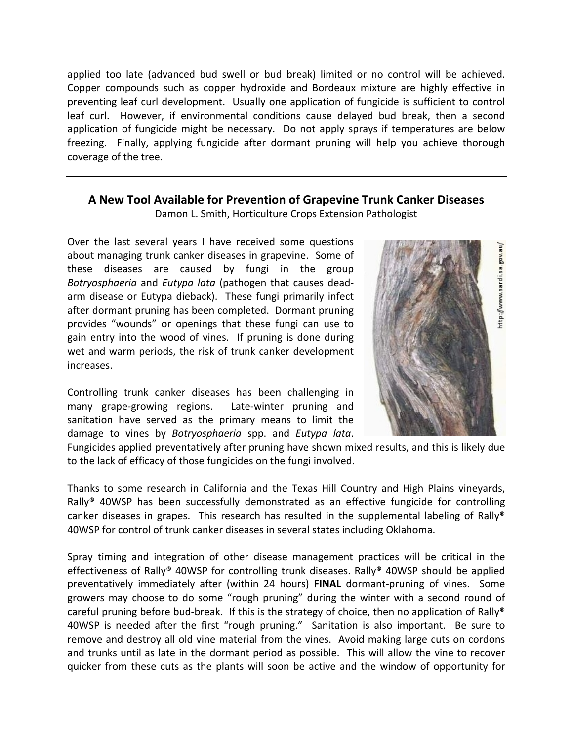applied too late (advanced bud swell or bud break) limited or no control will be achieved. Copper compounds such as copper hydroxide and Bordeaux mixture are highly effective in preventing leaf curl development. Usually one application of fungicide is sufficient to control leaf curl. However, if environmental conditions cause delayed bud break, then a second application of fungicide might be necessary. Do not apply sprays if temperatures are below freezing. Finally, applying fungicide after dormant pruning will help you achieve thorough coverage of the tree.

### **A New Tool Available for Prevention of Grapevine Trunk Canker Diseases**

Damon L. Smith, Horticulture Crops Extension Pathologist

Over the last several years I have received some questions about managing trunk canker diseases in grapevine. Some of these diseases are caused by fungi in the group *Botryosphaeria* and *Eutypa lata* (pathogen that causes dead‐ arm disease or Eutypa dieback). These fungi primarily infect after dormant pruning has been completed. Dormant pruning provides "wounds" or openings that these fungi can use to gain entry into the wood of vines. If pruning is done during wet and warm periods, the risk of trunk canker development increases.

Controlling trunk canker diseases has been challenging in many grape-growing regions. Late-winter pruning and sanitation have served as the primary means to limit the damage to vines by *Botryosphaeria* spp. and *Eutypa lata*.



Fungicides applied preventatively after pruning have shown mixed results, and this is likely due to the lack of efficacy of those fungicides on the fungi involved.

Thanks to some research in California and the Texas Hill Country and High Plains vineyards, Rally® 40WSP has been successfully demonstrated as an effective fungicide for controlling canker diseases in grapes. This research has resulted in the supplemental labeling of Rally<sup>®</sup> 40WSP for control of trunk canker diseases in several states including Oklahoma.

Spray timing and integration of other disease management practices will be critical in the effectiveness of Rally® 40WSP for controlling trunk diseases. Rally® 40WSP should be applied preventatively immediately after (within 24 hours) **FINAL** dormant‐pruning of vines. Some growers may choose to do some "rough pruning" during the winter with a second round of careful pruning before bud-break. If this is the strategy of choice, then no application of Rally<sup>®</sup> 40WSP is needed after the first "rough pruning." Sanitation is also important. Be sure to remove and destroy all old vine material from the vines. Avoid making large cuts on cordons and trunks until as late in the dormant period as possible. This will allow the vine to recover quicker from these cuts as the plants will soon be active and the window of opportunity for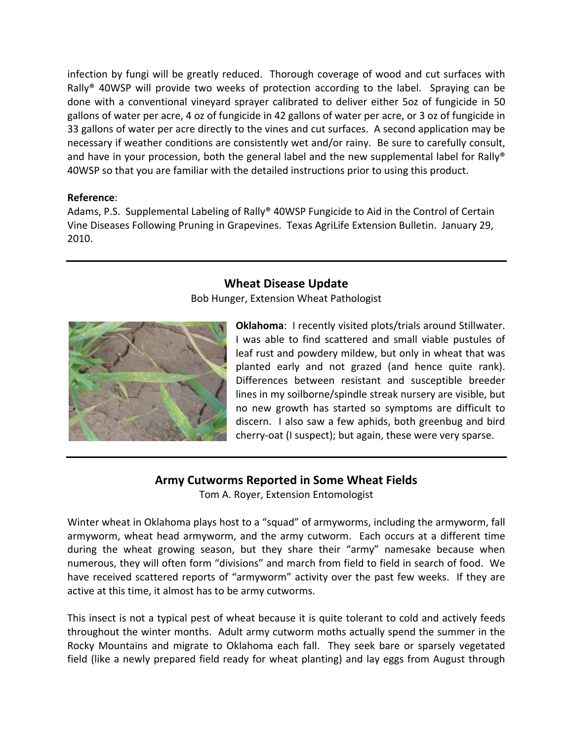infection by fungi will be greatly reduced. Thorough coverage of wood and cut surfaces with Rally<sup>®</sup> 40WSP will provide two weeks of protection according to the label. Spraying can be done with a conventional vineyard sprayer calibrated to deliver either 5oz of fungicide in 50 gallons of water per acre, 4 oz of fungicide in 42 gallons of water per acre, or 3 oz of fungicide in 33 gallons of water per acre directly to the vines and cut surfaces. A second application may be necessary if weather conditions are consistently wet and/or rainy. Be sure to carefully consult, and have in your procession, both the general label and the new supplemental label for Rally® 40WSP so that you are familiar with the detailed instructions prior to using this product.

#### **Reference**:

Adams, P.S. Supplemental Labeling of Rally® 40WSP Fungicide to Aid in the Control of Certain Vine Diseases Following Pruning in Grapevines. Texas AgriLife Extension Bulletin. January 29, 2010.

### **Wheat Disease Update**

Bob Hunger, Extension Wheat Pathologist



**Oklahoma**: I recently visited plots/trials around Stillwater. I was able to find scattered and small viable pustules of leaf rust and powdery mildew, but only in wheat that was planted early and not grazed (and hence quite rank). Differences between resistant and susceptible breeder lines in my soilborne/spindle streak nursery are visible, but no new growth has started so symptoms are difficult to discern. I also saw a few aphids, both greenbug and bird cherry‐oat (I suspect); but again, these were very sparse.

# **Army Cutworms Reported in Some Wheat Fields**

Tom A. Royer, Extension Entomologist

Winter wheat in Oklahoma plays host to a "squad" of armyworms, including the armyworm, fall armyworm, wheat head armyworm, and the army cutworm. Each occurs at a different time during the wheat growing season, but they share their "army" namesake because when numerous, they will often form "divisions" and march from field to field in search of food. We have received scattered reports of "armyworm" activity over the past few weeks. If they are active at this time, it almost has to be army cutworms.

This insect is not a typical pest of wheat because it is quite tolerant to cold and actively feeds throughout the winter months. Adult army cutworm moths actually spend the summer in the Rocky Mountains and migrate to Oklahoma each fall. They seek bare or sparsely vegetated field (like a newly prepared field ready for wheat planting) and lay eggs from August through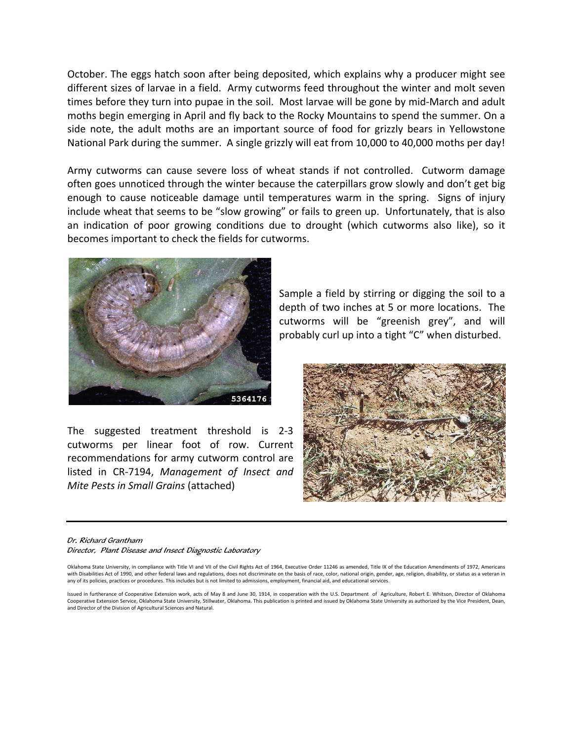October. The eggs hatch soon after being deposited, which explains why a producer might see different sizes of larvae in a field. Army cutworms feed throughout the winter and molt seven times before they turn into pupae in the soil. Most larvae will be gone by mid‐March and adult moths begin emerging in April and fly back to the Rocky Mountains to spend the summer. On a side note, the adult moths are an important source of food for grizzly bears in Yellowstone National Park during the summer. A single grizzly will eat from 10,000 to 40,000 moths per day!

Army cutworms can cause severe loss of wheat stands if not controlled. Cutworm damage often goes unnoticed through the winter because the caterpillars grow slowly and don't get big enough to cause noticeable damage until temperatures warm in the spring. Signs of injury include wheat that seems to be "slow growing" or fails to green up. Unfortunately, that is also an indication of poor growing conditions due to drought (which cutworms also like), so it becomes important to check the fields for cutworms.



The suggested treatment threshold is 2‐3 cutworms per linear foot of row. Current recommendations for army cutworm control are listed in CR‐7194, *Management of Insect and Mite Pests in Small Grains* (attached)

Sample a field by stirring or digging the soil to a depth of two inches at 5 or more locations. The cutworms will be "greenish grey", and will probably curl up into a tight "C" when disturbed.



Dr. Richard Grantham Director, Plant Disease and Insect Diagnostic Laboratory

Oklahoma State University, in compliance with Title VI and VII of the Civil Rights Act of 1964, Executive Order 11246 as amended, Title IX of the Education Amendments of 1972, Americans with Disabilities Act of 1990, and other federal laws and regulations, does not discriminate on the basis of race, color, national origin, gender, age, religion, disability, or status as a veteran in any of its policies, practices or procedures. This includes but is not limited to admissions, employment, financial aid, and educational services.

Issued in furtherance of Cooperative Extension work, acts of May 8 and June 30, 1914, in cooperation with the U.S. Department of Agriculture, Robert E. Whitson, Director of Oklahoma Cooperative Extension Service, Oklahoma State University, Stillwater, Oklahoma. This publication is printed and issued by Oklahoma State University as authorized by the Vice President, Dean, and Director of the Division of Agricultural Sciences and Natural.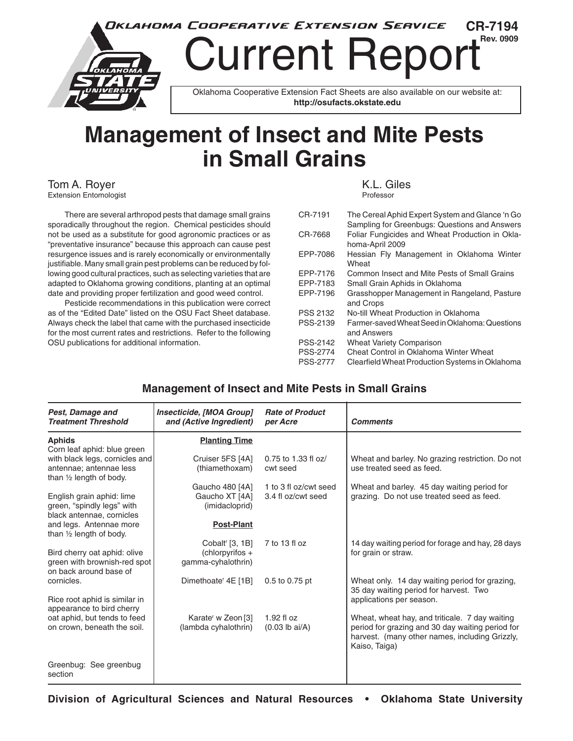

# **Management of Insect and Mite Pests in Small Grains**

Tom A. Royer (Extension Entomologist ) and the set of the set of the set of the Section Section 1.1 (Section 1<br>Extension Entomologist Extension Entomologist

 There are several arthropod pests that damage small grains sporadically throughout the region. Chemical pesticides should not be used as a substitute for good agronomic practices or as "preventative insurance" because this approach can cause pest resurgence issues and is rarely economically or environmentally justifiable. Many small grain pest problems can be reduced by following good cultural practices, such as selecting varieties that are adapted to Oklahoma growing conditions, planting at an optimal date and providing proper fertilization and good weed control.

 Pesticide recommendations in this publication were correct as of the "Edited Date" listed on the OSU Fact Sheet database. Always check the label that came with the purchased insecticide for the most current rates and restrictions. Refer to the following OSU publications for additional information.

| The Cereal Aphid Expert System and Glance 'n Go<br>Sampling for Greenbugs: Questions and Answers |
|--------------------------------------------------------------------------------------------------|
| Foliar Fungicides and Wheat Production in Okla-<br>homa-April 2009                               |
| Hessian Fly Management in Oklahoma Winter<br>Wheat                                               |
| Common Insect and Mite Pests of Small Grains                                                     |
| Small Grain Aphids in Oklahoma                                                                   |
| Grasshopper Management in Rangeland, Pasture<br>and Crops                                        |
| No-till Wheat Production in Oklahoma                                                             |
| Farmer-saved Wheat Seed in Oklahoma: Questions<br>and Answers                                    |
| <b>Wheat Variety Comparison</b>                                                                  |
| Cheat Control in Oklahoma Winter Wheat                                                           |
| Clearfield Wheat Production Systems in Oklahoma                                                  |
|                                                                                                  |

#### **Management of Insect and Mite Pests in Small Grains**

| Pest, Damage and<br><b>Treatment Threshold</b>                                       | Insecticide, [MOA Group]<br>and (Active Ingredient) | <b>Rate of Product</b><br>per Acre | <b>Comments</b>                                                                                                     |
|--------------------------------------------------------------------------------------|-----------------------------------------------------|------------------------------------|---------------------------------------------------------------------------------------------------------------------|
| <b>Aphids</b><br>Corn leaf aphid: blue green                                         | <b>Planting Time</b>                                |                                    |                                                                                                                     |
| with black legs, cornicles and                                                       | Cruiser 5FS [4A]                                    | 0.75 to 1.33 fl oz/                | Wheat and barley. No grazing restriction. Do not                                                                    |
| antennae; antennae less<br>than 1/2 length of body.                                  | (thiamethoxam)                                      | cwt seed                           | use treated seed as feed.                                                                                           |
|                                                                                      | Gaucho 480 [4A]                                     | 1 to 3 fl oz/cwt seed              | Wheat and barley. 45 day waiting period for                                                                         |
| English grain aphid: lime<br>green, "spindly legs" with<br>black antennae, cornicles | Gaucho XT [4A]<br>(imidacloprid)                    | 3.4 fl oz/cwt seed                 | grazing. Do not use treated seed as feed.                                                                           |
| and legs. Antennae more<br>than 1/2 length of body.                                  | <b>Post-Plant</b>                                   |                                    |                                                                                                                     |
|                                                                                      | Cobalt <sup>r</sup> [3, 1B]                         | 7 to 13 fl oz                      | 14 day waiting period for forage and hay, 28 days                                                                   |
| Bird cherry oat aphid: olive                                                         | (chlorpyrifos +                                     |                                    | for grain or straw.                                                                                                 |
| green with brownish-red spot<br>on back around base of                               | gamma-cyhalothrin)                                  |                                    |                                                                                                                     |
| cornicles.                                                                           | Dimethoate <sup>r</sup> 4E [1B]                     | 0.5 to 0.75 pt                     | Wheat only. 14 day waiting period for grazing,<br>35 day waiting period for harvest. Two                            |
| Rice root aphid is similar in<br>appearance to bird cherry                           |                                                     |                                    | applications per season.                                                                                            |
| oat aphid, but tends to feed                                                         | Karate <sup>r</sup> w Zeon [3]                      | $1.92$ fl oz                       | Wheat, wheat hay, and triticale. 7 day waiting                                                                      |
| on crown, beneath the soil.                                                          | (lambda cyhalothrin)                                | $(0.03$ lb ai/A)                   | period for grazing and 30 day waiting period for<br>harvest. (many other names, including Grizzly,<br>Kaiso, Taiga) |
| Greenbug: See greenbug<br>section                                                    |                                                     |                                    |                                                                                                                     |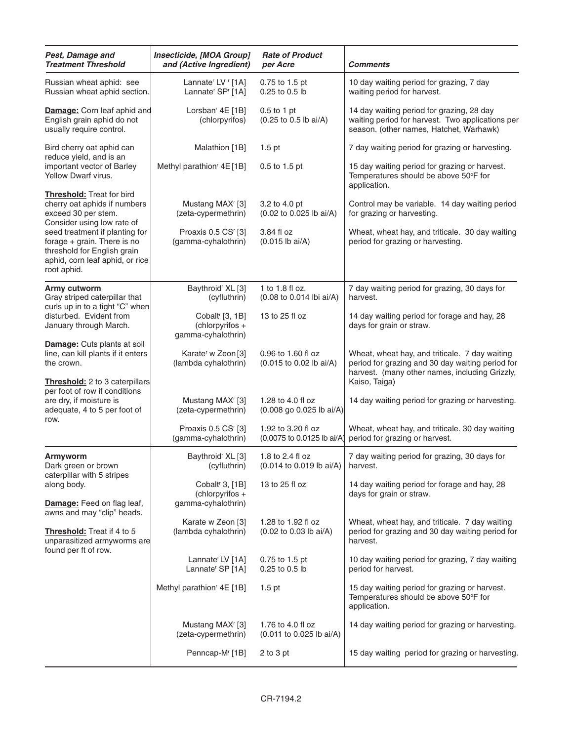| Insecticide, [MOA Group]<br>Pest, Damage and<br><b>Treatment Threshold</b><br>and (Active Ingredient)                                            |                                                                                        | <b>Rate of Product</b><br>per Acre                                               | Comments                                                                                                                                                              |
|--------------------------------------------------------------------------------------------------------------------------------------------------|----------------------------------------------------------------------------------------|----------------------------------------------------------------------------------|-----------------------------------------------------------------------------------------------------------------------------------------------------------------------|
| Russian wheat aphid: see<br>Russian wheat aphid section.                                                                                         | Lannate <sup>r</sup> LV <sup>r</sup> [1A]<br>Lannate <sup>r</sup> SP <sup>r</sup> [1A] |                                                                                  | 10 day waiting period for grazing, 7 day<br>waiting period for harvest.                                                                                               |
| Damage: Corn leaf aphid and<br>English grain aphid do not<br>usually require control.                                                            | Lorsban <sup>r</sup> 4E [1B]<br>(chlorpyrifos)                                         | $0.5$ to 1 pt<br>(0.25 to 0.5 lb ai/A)                                           | 14 day waiting period for grazing, 28 day<br>waiting period for harvest. Two applications per<br>season. (other names, Hatchet, Warhawk)                              |
| Bird cherry oat aphid can<br>reduce yield, and is an                                                                                             | Malathion [1B]                                                                         | $1.5$ pt                                                                         | 7 day waiting period for grazing or harvesting.                                                                                                                       |
| important vector of Barley<br>Yellow Dwarf virus.                                                                                                | Methyl parathion <sup>r</sup> 4E [1B]                                                  | 0.5 to 1.5 pt                                                                    | 15 day waiting period for grazing or harvest.<br>Temperatures should be above 50°F for<br>application.                                                                |
| <b>Threshold:</b> Treat for bird<br>cherry oat aphids if numbers<br>exceed 30 per stem.<br>Consider using low rate of                            | Mustang MAX <sup>r</sup> [3]<br>(zeta-cypermethrin)                                    | 3.2 to 4.0 pt<br>(0.02 to 0.025 lb ai/A)                                         | Control may be variable. 14 day waiting period<br>for grazing or harvesting.                                                                                          |
| seed treatment if planting for<br>forage $+$ grain. There is no<br>threshold for English grain<br>aphid, corn leaf aphid, or rice<br>root aphid. | Proaxis 0.5 CS <sup>r</sup> [3]<br>(gamma-cyhalothrin)                                 | 3.84 fl oz<br>$(0.015$ lb ai/A)                                                  | Wheat, wheat hay, and triticale. 30 day waiting<br>period for grazing or harvesting.                                                                                  |
| Army cutworm                                                                                                                                     | Baythroid <sup>r</sup> XL [3]                                                          | 1 to 1.8 fl oz.                                                                  | 7 day waiting period for grazing, 30 days for                                                                                                                         |
| Gray striped caterpillar that<br>curls up in to a tight "C" when                                                                                 | (cyfluthrin)                                                                           | (0.08 to 0.014 lbi ai/A)                                                         | harvest.                                                                                                                                                              |
| disturbed. Evident from<br>January through March.                                                                                                | Cobalt <sup>r</sup> [3, 1B]<br>(chlorpyrifos +<br>gamma-cyhalothrin)                   | 13 to 25 fl oz                                                                   | 14 day waiting period for forage and hay, 28<br>days for grain or straw.                                                                                              |
| <b>Damage:</b> Cuts plants at soil<br>line, can kill plants if it enters<br>the crown.<br>Threshold: 2 to 3 caterpillars                         | Karate <sup>r</sup> w Zeon <sup>[3]</sup><br>(lambda cyhalothrin)                      | 0.96 to 1.60 fl oz<br>(0.015 to 0.02 lb ai/A)                                    | Wheat, wheat hay, and triticale. 7 day waiting<br>period for grazing and 30 day waiting period for<br>harvest. (many other names, including Grizzly,<br>Kaiso, Taiga) |
| per foot of row if conditions<br>are dry, if moisture is<br>adequate, 4 to 5 per foot of                                                         | Mustang MAX <sup>r</sup> [3]<br>(zeta-cypermethrin)                                    | 1.28 to 4.0 fl oz<br>(0.008 go 0.025 lb ai/A)                                    | 14 day waiting period for grazing or harvesting.                                                                                                                      |
| row.                                                                                                                                             | Proaxis 0.5 CS <sup>r</sup> [3]<br>(gamma-cyhalothrin)                                 | 1.92 to 3.20 fl oz<br>(0.0075 to 0.0125 lb ai/A)                                 | Wheat, wheat hay, and triticale. 30 day waiting<br>period for grazing or harvest.                                                                                     |
| Armyworm<br>Dark green or brown<br>caterpillar with 5 stripes                                                                                    | Baythroid <sup>r</sup> XL [3]<br>(cyfluthrin)                                          | 1.8 to 2.4 fl oz<br>$(0.014 \text{ to } 0.019 \text{ lb } \text{ai/A})$ harvest. | 7 day waiting period for grazing, 30 days for                                                                                                                         |
| along body.<br><b>Damage:</b> Feed on flag leaf,                                                                                                 | Cobalt <sup>r</sup> 3, [1B]<br>(chlorpyrifos +<br>gamma-cyhalothrin)                   | 13 to 25 fl oz                                                                   | 14 day waiting period for forage and hay, 28<br>days for grain or straw.                                                                                              |
| awns and may "clip" heads.<br>Threshold: Treat if 4 to 5<br>unparasitized armyworms are                                                          | Karate w Zeon [3]<br>(lambda cyhalothrin)                                              | 1.28 to 1.92 fl oz<br>(0.02 to 0.03 lb ai/A)                                     | Wheat, wheat hay, and triticale. 7 day waiting<br>period for grazing and 30 day waiting period for<br>harvest.                                                        |
| found per ft of row.                                                                                                                             | Lannate <sup>r</sup> LV [1A]<br>Lannate <sup>r</sup> SP [1A]                           | 0.75 to 1.5 pt<br>0.25 to 0.5 lb                                                 | 10 day waiting period for grazing, 7 day waiting<br>period for harvest.                                                                                               |
|                                                                                                                                                  | Methyl parathion <sup>r</sup> 4E [1B]                                                  | $1.5$ pt                                                                         | 15 day waiting period for grazing or harvest.<br>Temperatures should be above 50°F for<br>application.                                                                |
|                                                                                                                                                  | Mustang MAX <sup>r</sup> [3]<br>(zeta-cypermethrin)                                    | 1.76 to 4.0 fl oz<br>$(0.011$ to 0.025 lb ai/A)                                  | 14 day waiting period for grazing or harvesting.                                                                                                                      |
|                                                                                                                                                  | Penncap-M <sup>r</sup> [1B]                                                            | $2$ to $3$ pt                                                                    | 15 day waiting period for grazing or harvesting.                                                                                                                      |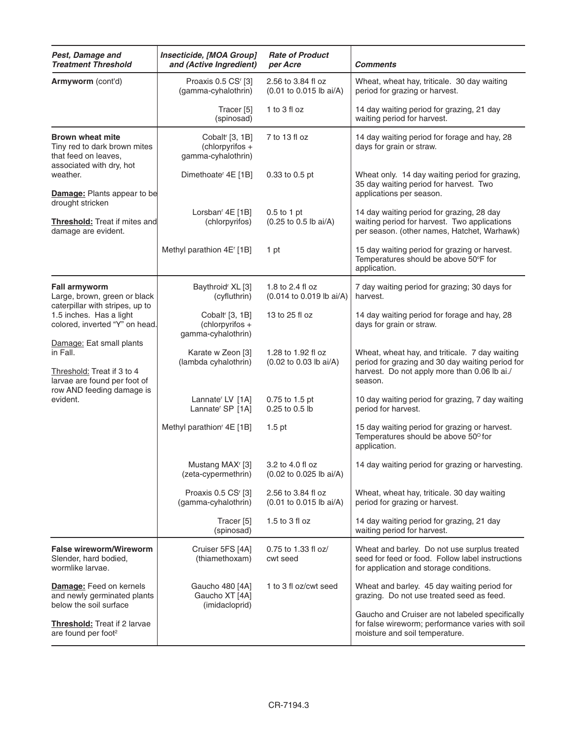| Pest, Damage and<br><b>Treatment Threshold</b>                                                              | Insecticide, [MOA Group]<br>and (Active Ingredient)                    | <b>Rate of Product</b><br>per Acre            | <b>Comments</b>                                                                                                                                               |
|-------------------------------------------------------------------------------------------------------------|------------------------------------------------------------------------|-----------------------------------------------|---------------------------------------------------------------------------------------------------------------------------------------------------------------|
| Armyworm (cont'd)                                                                                           | Proaxis 0.5 CS <sup>r</sup> [3]<br>(gamma-cyhalothrin)                 | 2.56 to 3.84 fl oz<br>(0.01 to 0.015 lb ai/A) | Wheat, wheat hay, triticale. 30 day waiting<br>period for grazing or harvest.                                                                                 |
|                                                                                                             | Tracer <sup>[5]</sup><br>(spinosad)                                    | 1 to 3 fl oz                                  | 14 day waiting period for grazing, 21 day<br>waiting period for harvest.                                                                                      |
| <b>Brown wheat mite</b><br>Tiny red to dark brown mites<br>that feed on leaves,<br>associated with dry, hot | Cobalt <sup>r</sup> [3, 1B]<br>(chlorpyrifos $+$<br>gamma-cyhalothrin) | 7 to 13 fl oz                                 | 14 day waiting period for forage and hay, 28<br>days for grain or straw.                                                                                      |
| weather.<br><b>Damage:</b> Plants appear to be<br>drought stricken                                          | Dimethoate <sup>r</sup> 4E [1B]                                        | 0.33 to 0.5 pt                                | Wheat only. 14 day waiting period for grazing,<br>35 day waiting period for harvest. Two<br>applications per season.                                          |
| <b>Threshold:</b> Treat if mites and<br>damage are evident.                                                 | Lorsban <sup>r</sup> 4E [1B]<br>(chlorpyrifos)                         | $0.5$ to 1 pt<br>(0.25 to 0.5 lb ai/A)        | 14 day waiting period for grazing, 28 day<br>waiting period for harvest. Two applications<br>per season. (other names, Hatchet, Warhawk)                      |
|                                                                                                             | Methyl parathion 4E' [1B]                                              | 1 pt                                          | 15 day waiting period for grazing or harvest.<br>Temperatures should be above 50°F for<br>application.                                                        |
| <b>Fall armyworm</b><br>Large, brown, green or black                                                        | Baythroid <sup>r</sup> XL [3]<br>(cyfluthrin)                          | 1.8 to 2.4 fl oz<br>(0.014 to 0.019 lb ai/A)  | 7 day waiting period for grazing; 30 days for<br>harvest.                                                                                                     |
| caterpillar with stripes, up to<br>1.5 inches. Has a light<br>colored, inverted "Y" on head.                | Cobalt <sup>r</sup> [3, 1B]<br>(chlorpyrifos +<br>gamma-cyhalothrin)   | 13 to 25 fl oz                                | 14 day waiting period for forage and hay, 28<br>days for grain or straw.                                                                                      |
| Damage: Eat small plants<br>in Fall.<br>Threshold: Treat if 3 to 4<br>larvae are found per foot of          | Karate w Zeon [3]<br>(lambda cyhalothrin)                              | 1.28 to 1.92 fl oz<br>(0.02 to 0.03 lb ai/A)  | Wheat, wheat hay, and triticale. 7 day waiting<br>period for grazing and 30 day waiting period for<br>harvest. Do not apply more than 0.06 lb ai./<br>season. |
| row AND feeding damage is<br>evident.                                                                       | Lannate <sup>r</sup> LV [1A]<br>Lannate <sup>r</sup> SP [1A]           | 0.75 to 1.5 pt<br>0.25 to 0.5 lb              | 10 day waiting period for grazing, 7 day waiting<br>period for harvest.                                                                                       |
|                                                                                                             | Methyl parathion <sup>r</sup> 4E [1B]                                  | $1.5$ pt                                      | 15 day waiting period for grazing or harvest.<br>Temperatures should be above 50° for<br>application.                                                         |
|                                                                                                             | Mustang MAX <sup>r</sup> [3]<br>(zeta-cypermethrin)                    | 3.2 to 4.0 fl oz<br>(0.02 to 0.025 lb ai/A)   | 14 day waiting period for grazing or harvesting.                                                                                                              |
|                                                                                                             | Proaxis 0.5 CS <sup>r</sup> [3]<br>(gamma-cyhalothrin)                 | 2.56 to 3.84 fl oz<br>(0.01 to 0.015 lb ai/A) | Wheat, wheat hay, triticale. 30 day waiting<br>period for grazing or harvest.                                                                                 |
|                                                                                                             | Tracer [5]<br>(spinosad)                                               | 1.5 to 3 fl oz                                | 14 day waiting period for grazing, 21 day<br>waiting period for harvest.                                                                                      |
| <b>False wireworm/Wireworm</b><br>Slender, hard bodied,<br>wormlike larvae.                                 | Cruiser 5FS [4A]<br>(thiamethoxam)                                     | 0.75 to 1.33 fl oz/<br>cwt seed               | Wheat and barley. Do not use surplus treated<br>seed for feed or food. Follow label instructions<br>for application and storage conditions.                   |
| <b>Damage:</b> Feed on kernels<br>and newly germinated plants<br>below the soil surface                     | Gaucho 480 [4A]<br>Gaucho XT [4A]<br>(imidacloprid)                    | 1 to 3 fl oz/cwt seed                         | Wheat and barley. 45 day waiting period for<br>grazing. Do not use treated seed as feed.                                                                      |
| Threshold: Treat if 2 larvae<br>are found per foot <sup>2</sup>                                             |                                                                        |                                               | Gaucho and Cruiser are not labeled specifically<br>for false wireworm; performance varies with soil<br>moisture and soil temperature.                         |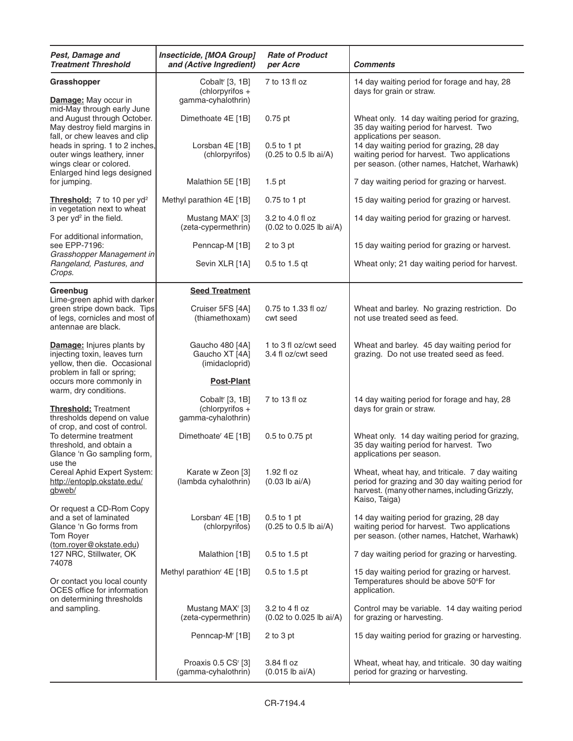| Pest, Damage and<br><b>Treatment Threshold</b>                                                                                                                                            | Insecticide, [MOA Group]<br>and (Active Ingredient)                    | <b>Rate of Product</b><br>per Acre          | <b>Comments</b>                                                                                                                                                       |
|-------------------------------------------------------------------------------------------------------------------------------------------------------------------------------------------|------------------------------------------------------------------------|---------------------------------------------|-----------------------------------------------------------------------------------------------------------------------------------------------------------------------|
| Grasshopper<br>Damage: May occur in                                                                                                                                                       | Cobalt <sup>r</sup> [3, 1B]<br>$(chlorpyrifos +$<br>gamma-cyhalothrin) | 7 to 13 fl oz                               | 14 day waiting period for forage and hay, 28<br>days for grain or straw.                                                                                              |
| mid-May through early June<br>and August through October.<br>May destroy field margins in<br>fall, or chew leaves and clip                                                                | Dimethoate 4E [1B]                                                     | $0.75$ pt                                   | Wheat only. 14 day waiting period for grazing,<br>35 day waiting period for harvest. Two<br>applications per season.                                                  |
| heads in spring. 1 to 2 inches,<br>outer wings leathery, inner<br>wings clear or colored.                                                                                                 | Lorsban 4E [1B]<br>(chlorpyrifos)                                      | $0.5$ to 1 pt<br>(0.25 to 0.5 lb ai/A)      | 14 day waiting period for grazing, 28 day<br>waiting period for harvest. Two applications<br>per season. (other names, Hatchet, Warhawk)                              |
| Enlarged hind legs designed<br>for jumping.                                                                                                                                               | Malathion 5E [1B]                                                      | $1.5$ pt                                    | 7 day waiting period for grazing or harvest.                                                                                                                          |
| Threshold: 7 to 10 per yd <sup>2</sup><br>in vegetation next to wheat                                                                                                                     | Methyl parathion 4E [1B]                                               | 0.75 to 1 pt                                | 15 day waiting period for grazing or harvest.                                                                                                                         |
| 3 per yd <sup>2</sup> in the field.<br>For additional information,                                                                                                                        | Mustang MAX <sup>r</sup> [3]<br>(zeta-cypermethrin)                    | 3.2 to 4.0 fl oz<br>(0.02 to 0.025 lb ai/A) | 14 day waiting period for grazing or harvest.                                                                                                                         |
| see EPP-7196:<br>Grasshopper Management in                                                                                                                                                | Penncap-M [1B]                                                         | $2$ to $3$ pt                               | 15 day waiting period for grazing or harvest.                                                                                                                         |
| Rangeland, Pastures, and<br>Crops.                                                                                                                                                        | Sevin XLR [1A]                                                         | $0.5$ to 1.5 gt                             | Wheat only; 21 day waiting period for harvest.                                                                                                                        |
| Greenbug<br>Lime-green aphid with darker                                                                                                                                                  | <b>Seed Treatment</b>                                                  |                                             |                                                                                                                                                                       |
| green stripe down back. Tips<br>of legs, cornicles and most of<br>antennae are black.                                                                                                     | Cruiser 5FS [4A]<br>(thiamethoxam)                                     | 0.75 to 1.33 fl oz/<br>cwt seed             | Wheat and barley. No grazing restriction. Do<br>not use treated seed as feed.                                                                                         |
| <b>Damage:</b> Injures plants by<br>injecting toxin, leaves turn<br>yellow, then die. Occasional<br>problem in fall or spring;                                                            | Gaucho 480 [4A]<br>Gaucho XT [4A]<br>(imidacloprid)                    | 1 to 3 fl oz/cwt seed<br>3.4 fl oz/cwt seed | Wheat and barley. 45 day waiting period for<br>grazing. Do not use treated seed as feed.                                                                              |
| occurs more commonly in<br>warm, dry conditions.                                                                                                                                          | <b>Post-Plant</b>                                                      |                                             |                                                                                                                                                                       |
| <b>Threshold: Treatment</b><br>thresholds depend on value<br>of crop, and cost of control.<br>To determine treatment<br>threshold, and obtain a<br>Glance 'n Go sampling form,<br>use the | Cobalt <sup>r</sup> [3, 1B]<br>$(chlorpyrifos +$<br>gamma-cyhalothrin) | 7 to 13 fl oz                               | 14 day waiting period for forage and hay, 28<br>days for grain or straw.                                                                                              |
|                                                                                                                                                                                           | Dimethoate <sup>r</sup> 4E [1B]                                        | 0.5 to 0.75 pt                              | Wheat only. 14 day waiting period for grazing,<br>35 day waiting period for harvest. Two<br>applications per season.                                                  |
| Cereal Aphid Expert System:<br>http://entoplp.okstate.edu/<br>gbweb/                                                                                                                      | Karate w Zeon [3]<br>(lambda cyhalothrin)                              | 1.92 fl oz<br>$(0.03$ lb ai/A)              | Wheat, wheat hay, and triticale. 7 day waiting<br>period for grazing and 30 day waiting period for<br>harvest. (many other names, including Grizzly,<br>Kaiso, Taiga) |
| Or request a CD-Rom Copy<br>and a set of laminated<br>Glance 'n Go forms from<br>Tom Royer                                                                                                | Lorsban <sup>r</sup> 4E [1B]<br>(chlorpyrifos)                         | $0.5$ to 1 pt<br>(0.25 to 0.5 lb ai/A)      | 14 day waiting period for grazing, 28 day<br>waiting period for harvest. Two applications<br>per season. (other names, Hatchet, Warhawk)                              |
| (tom.royer@okstate.edu)<br>127 NRC, Stillwater, OK<br>74078                                                                                                                               | Malathion [1B]                                                         | 0.5 to 1.5 pt                               | 7 day waiting period for grazing or harvesting.                                                                                                                       |
| Or contact you local county<br>OCES office for information<br>on determining thresholds                                                                                                   | Methyl parathion <sup>r</sup> 4E [1B]                                  | 0.5 to 1.5 pt                               | 15 day waiting period for grazing or harvest.<br>Temperatures should be above 50°F for<br>application.                                                                |
| and sampling.                                                                                                                                                                             | Mustang MAX <sup>r</sup> [3]<br>(zeta-cypermethrin)                    | 3.2 to 4 fl oz<br>(0.02 to 0.025 lb ai/A)   | Control may be variable. 14 day waiting period<br>for grazing or harvesting.                                                                                          |
|                                                                                                                                                                                           | Penncap-M <sup>r</sup> [1B]                                            | $2$ to $3$ pt                               | 15 day waiting period for grazing or harvesting.                                                                                                                      |
|                                                                                                                                                                                           | Proaxis 0.5 CS <sup>r</sup> [3]<br>(gamma-cyhalothrin)                 | 3.84 fl oz<br>$(0.015$ lb ai/A)             | Wheat, wheat hay, and triticale. 30 day waiting<br>period for grazing or harvesting.                                                                                  |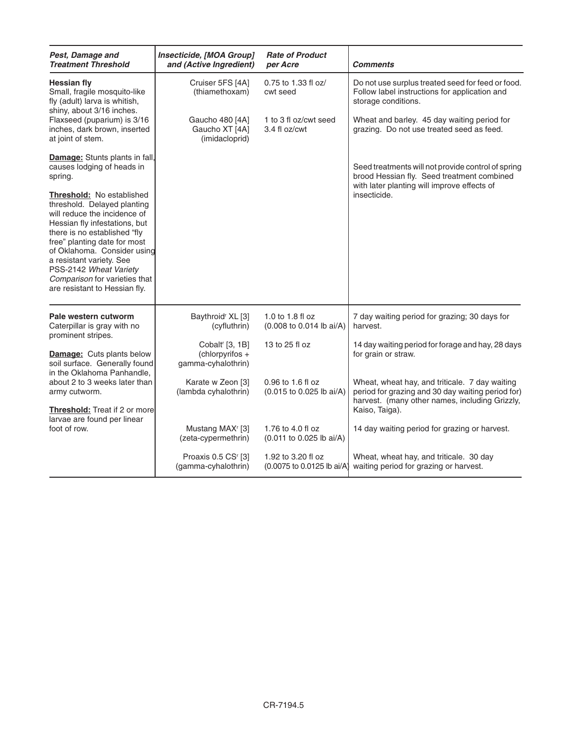| Pest, Damage and<br><b>Treatment Threshold</b>                                                                                                                                                                                                                                                                                                          | Insecticide, [MOA Group]<br>and (Active Ingredient)                  | <b>Rate of Product</b><br>per Acre               | <b>Comments</b>                                                                                                                                                         |
|---------------------------------------------------------------------------------------------------------------------------------------------------------------------------------------------------------------------------------------------------------------------------------------------------------------------------------------------------------|----------------------------------------------------------------------|--------------------------------------------------|-------------------------------------------------------------------------------------------------------------------------------------------------------------------------|
| <b>Hessian fly</b><br>Small, fragile mosquito-like<br>fly (adult) larva is whitish,<br>shiny, about 3/16 inches.                                                                                                                                                                                                                                        | Cruiser 5FS [4A]<br>(thiamethoxam)                                   | 0.75 to 1.33 fl oz/<br>cwt seed                  | Do not use surplus treated seed for feed or food.<br>Follow label instructions for application and<br>storage conditions.                                               |
| Flaxseed (puparium) is 3/16<br>inches, dark brown, inserted<br>at joint of stem.                                                                                                                                                                                                                                                                        | Gaucho 480 [4A]<br>Gaucho XT [4A]<br>(imidacloprid)                  | 1 to 3 fl oz/cwt seed<br>3.4 fl oz/cwt           | Wheat and barley. 45 day waiting period for<br>grazing. Do not use treated seed as feed.                                                                                |
| Damage: Stunts plants in fall,<br>causes lodging of heads in<br>spring.                                                                                                                                                                                                                                                                                 |                                                                      |                                                  | Seed treatments will not provide control of spring<br>brood Hessian fly. Seed treatment combined<br>with later planting will improve effects of                         |
| <b>Threshold: No established</b><br>threshold. Delayed planting<br>will reduce the incidence of<br>Hessian fly infestations, but<br>there is no established "fly<br>free" planting date for most<br>of Oklahoma. Consider using<br>a resistant variety. See<br>PSS-2142 Wheat Variety<br>Comparison for varieties that<br>are resistant to Hessian fly. |                                                                      |                                                  | insecticide.                                                                                                                                                            |
| Pale western cutworm<br>Caterpillar is gray with no<br>prominent stripes.                                                                                                                                                                                                                                                                               | Baythroid <sup>r</sup> XL [3]<br>(cyfluthrin)                        | 1.0 to 1.8 fl oz<br>(0.008 to 0.014 lb ai/A)     | 7 day waiting period for grazing; 30 days for<br>harvest.                                                                                                               |
| <b>Damage:</b> Cuts plants below<br>soil surface. Generally found<br>in the Oklahoma Panhandle,                                                                                                                                                                                                                                                         | Cobalt <sup>r</sup> [3, 1B]<br>(chlorpyrifos +<br>gamma-cyhalothrin) | 13 to 25 fl oz                                   | 14 day waiting period for forage and hay, 28 days<br>for grain or straw.                                                                                                |
| about 2 to 3 weeks later than<br>army cutworm.<br><b>Threshold:</b> Treat if 2 or more                                                                                                                                                                                                                                                                  | Karate w Zeon [3]<br>(lambda cyhalothrin)                            | 0.96 to 1.6 fl oz<br>(0.015 to 0.025 lb ai/A)    | Wheat, wheat hay, and triticale. 7 day waiting<br>period for grazing and 30 day waiting period for)<br>harvest. (many other names, including Grizzly,<br>Kaiso, Taiga). |
| larvae are found per linear<br>foot of row.                                                                                                                                                                                                                                                                                                             | Mustang MAX <sup>r</sup> [3]<br>(zeta-cypermethrin)                  | 1.76 to 4.0 fl oz<br>(0.011 to 0.025 lb ai/A)    | 14 day waiting period for grazing or harvest.                                                                                                                           |
|                                                                                                                                                                                                                                                                                                                                                         | Proaxis 0.5 CS <sup>r</sup> [3]<br>(gamma-cyhalothrin)               | 1.92 to 3.20 fl oz<br>(0.0075 to 0.0125 lb ai/A) | Wheat, wheat hay, and triticale. 30 day<br>waiting period for grazing or harvest.                                                                                       |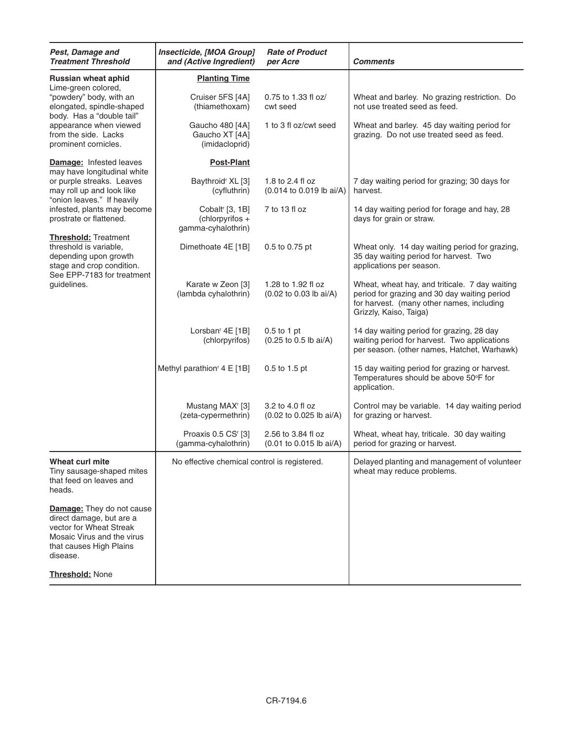| Pest, Damage and<br><b>Treatment Threshold</b>                                                                                                               | Insecticide, [MOA Group]<br><b>Rate of Product</b><br>and (Active Ingredient)<br>per Acre |                                               | <b>Comments</b>                                                                                                                                                       |
|--------------------------------------------------------------------------------------------------------------------------------------------------------------|-------------------------------------------------------------------------------------------|-----------------------------------------------|-----------------------------------------------------------------------------------------------------------------------------------------------------------------------|
| <b>Russian wheat aphid</b>                                                                                                                                   | <b>Planting Time</b>                                                                      |                                               |                                                                                                                                                                       |
| Lime-green colored,<br>"powdery" body, with an<br>elongated, spindle-shaped<br>body. Has a "double tail"                                                     | Cruiser 5FS [4A]<br>(thiamethoxam)                                                        | 0.75 to 1.33 fl oz/<br>cwt seed               | Wheat and barley. No grazing restriction. Do<br>not use treated seed as feed.                                                                                         |
| appearance when viewed<br>from the side. Lacks<br>prominent cornicles.                                                                                       | Gaucho 480 [4A]<br>Gaucho XT [4A]<br>(imidacloprid)                                       | 1 to 3 fl oz/cwt seed                         | Wheat and barley. 45 day waiting period for<br>grazing. Do not use treated seed as feed.                                                                              |
| <b>Damage: Infested leaves</b><br>may have longitudinal white                                                                                                | <b>Post-Plant</b>                                                                         |                                               |                                                                                                                                                                       |
| or purple streaks. Leaves<br>may roll up and look like<br>"onion leaves." If heavily                                                                         | Baythroid <sup>r</sup> XL [3]<br>(cyfluthrin)                                             | 1.8 to 2.4 fl oz<br>(0.014 to 0.019 lb ai/A)  | 7 day waiting period for grazing; 30 days for<br>harvest.                                                                                                             |
| infested, plants may become<br>prostrate or flattened.                                                                                                       | Cobalt <sup>r</sup> [3, 1B]<br>$(chlorpyrifos +$<br>gamma-cyhalothrin)                    | 7 to 13 fl oz                                 | 14 day waiting period for forage and hay, 28<br>days for grain or straw.                                                                                              |
| <b>Threshold: Treatment</b><br>threshold is variable.<br>depending upon growth<br>stage and crop condition.<br>See EPP-7183 for treatment                    | Dimethoate 4E [1B]                                                                        | 0.5 to 0.75 pt                                | Wheat only. 14 day waiting period for grazing,<br>35 day waiting period for harvest. Two<br>applications per season.                                                  |
| guidelines.                                                                                                                                                  | Karate w Zeon [3]<br>(lambda cyhalothrin)                                                 | 1.28 to 1.92 fl oz<br>(0.02 to 0.03 lb ai/A)  | Wheat, wheat hay, and triticale. 7 day waiting<br>period for grazing and 30 day waiting period<br>for harvest. (many other names, including<br>Grizzly, Kaiso, Taiga) |
|                                                                                                                                                              | Lorsban <sup>r</sup> 4E [1B]<br>(chlorpyrifos)                                            | $0.5$ to 1 pt<br>(0.25 to 0.5 lb ai/A)        | 14 day waiting period for grazing, 28 day<br>waiting period for harvest. Two applications<br>per season. (other names, Hatchet, Warhawk)                              |
|                                                                                                                                                              | Methyl parathion <sup>r</sup> 4 E [1B]                                                    | 0.5 to 1.5 pt                                 | 15 day waiting period for grazing or harvest.<br>Temperatures should be above 50°F for<br>application.                                                                |
|                                                                                                                                                              | Mustang MAX <sup>r</sup> [3]<br>(zeta-cypermethrin)                                       | 3.2 to 4.0 fl oz<br>(0.02 to 0.025 lb ai/A)   | Control may be variable. 14 day waiting period<br>for grazing or harvest.                                                                                             |
|                                                                                                                                                              | Proaxis 0.5 CS <sup>r</sup> [3]<br>(gamma-cyhalothrin)                                    | 2.56 to 3.84 fl oz<br>(0.01 to 0.015 lb ai/A) | Wheat, wheat hay, triticale. 30 day waiting<br>period for grazing or harvest.                                                                                         |
| Wheat curl mite<br>Tiny sausage-shaped mites<br>that feed on leaves and<br>heads.                                                                            | No effective chemical control is registered.                                              |                                               | Delayed planting and management of volunteer<br>wheat may reduce problems.                                                                                            |
| <b>Damage:</b> They do not cause<br>direct damage, but are a<br>vector for Wheat Streak<br>Mosaic Virus and the virus<br>that causes High Plains<br>disease. |                                                                                           |                                               |                                                                                                                                                                       |
| Threshold: None                                                                                                                                              |                                                                                           |                                               |                                                                                                                                                                       |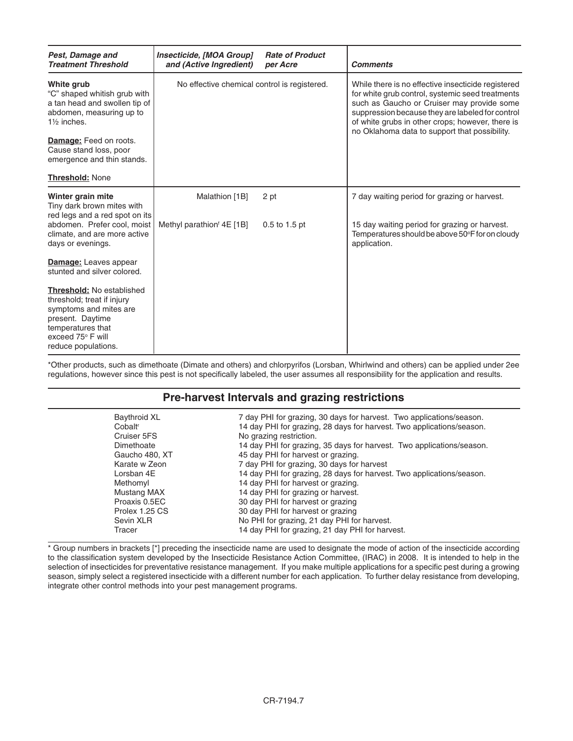| Pest, Damage and<br><b>Treatment Threshold</b>                                                                                                                                | Insecticide, [MOA Group]<br>and (Active Ingredient) | <b>Rate of Product</b><br>per Acre | <b>Comments</b>                                                                                                                                                                                                                                                                                               |
|-------------------------------------------------------------------------------------------------------------------------------------------------------------------------------|-----------------------------------------------------|------------------------------------|---------------------------------------------------------------------------------------------------------------------------------------------------------------------------------------------------------------------------------------------------------------------------------------------------------------|
| White grub<br>"C" shaped whitish grub with<br>a tan head and swollen tip of<br>abdomen, measuring up to<br>1 <sup>1</sup> / <sub>2</sub> inches.                              | No effective chemical control is registered.        |                                    | While there is no effective insecticide registered<br>for white grub control, systemic seed treatments<br>such as Gaucho or Cruiser may provide some<br>suppression because they are labeled for control<br>of white grubs in other crops; however, there is<br>no Oklahoma data to support that possibility. |
| Damage: Feed on roots.<br>Cause stand loss, poor<br>emergence and thin stands.                                                                                                |                                                     |                                    |                                                                                                                                                                                                                                                                                                               |
| <b>Threshold: None</b>                                                                                                                                                        |                                                     |                                    |                                                                                                                                                                                                                                                                                                               |
| Winter grain mite<br>Tiny dark brown mites with<br>red legs and a red spot on its                                                                                             | Malathion [1B]                                      | 2 pt                               | 7 day waiting period for grazing or harvest.                                                                                                                                                                                                                                                                  |
| abdomen. Prefer cool, moist<br>climate, and are more active<br>days or evenings.                                                                                              | Methyl parathion <sup><i>f</i></sup> 4E [1B]        | 0.5 to 1.5 pt                      | 15 day waiting period for grazing or harvest.<br>Temperatures should be above 50°F for on cloudy<br>application.                                                                                                                                                                                              |
| <b>Damage:</b> Leaves appear<br>stunted and silver colored.                                                                                                                   |                                                     |                                    |                                                                                                                                                                                                                                                                                                               |
| <b>Threshold: No established</b><br>threshold; treat if injury<br>symptoms and mites are<br>present. Daytime<br>temperatures that<br>exceed 75° F will<br>reduce populations. |                                                     |                                    |                                                                                                                                                                                                                                                                                                               |

\*Other products, such as dimethoate (Dimate and others) and chlorpyrifos (Lorsban, Whirlwind and others) can be applied under 2ee regulations, however since this pest is not specifically labeled, the user assumes all responsibility for the application and results.

#### **Pre-harvest Intervals and grazing restrictions**

| <b>Baythroid XL</b><br>Cobalt <sup>r</sup><br>Cruiser 5FS<br>Dimethoate<br>Gaucho 480, XT<br>Karate w Zeon<br>I orsban 4F<br>Methomyl<br>Mustang MAX<br>Proaxis 0.5EC<br>Prolex 1.25 CS | 7 day PHI for grazing, 30 days for harvest. Two applications/season.<br>14 day PHI for grazing, 28 days for harvest. Two applications/season.<br>No grazing restriction.<br>14 day PHI for grazing, 35 days for harvest. Two applications/season.<br>45 day PHI for harvest or grazing.<br>7 day PHI for grazing, 30 days for harvest<br>14 day PHI for grazing, 28 days for harvest. Two applications/season.<br>14 day PHI for harvest or grazing.<br>14 day PHI for grazing or harvest.<br>30 day PHI for harvest or grazing<br>30 day PHI for harvest or grazing |
|-----------------------------------------------------------------------------------------------------------------------------------------------------------------------------------------|----------------------------------------------------------------------------------------------------------------------------------------------------------------------------------------------------------------------------------------------------------------------------------------------------------------------------------------------------------------------------------------------------------------------------------------------------------------------------------------------------------------------------------------------------------------------|
| Sevin XLR<br>Tracer                                                                                                                                                                     | No PHI for grazing, 21 day PHI for harvest.<br>14 day PHI for grazing, 21 day PHI for harvest.                                                                                                                                                                                                                                                                                                                                                                                                                                                                       |
|                                                                                                                                                                                         |                                                                                                                                                                                                                                                                                                                                                                                                                                                                                                                                                                      |

\* Group numbers in brackets [\*] preceding the insecticide name are used to designate the mode of action of the insecticide according to the classification system developed by the Insecticide Resistance Action Committee, (IRAC) in 2008. It is intended to help in the selection of insecticides for preventative resistance management. If you make multiple applications for a specific pest during a growing season, simply select a registered insecticide with a different number for each application. To further delay resistance from developing, integrate other control methods into your pest management programs.